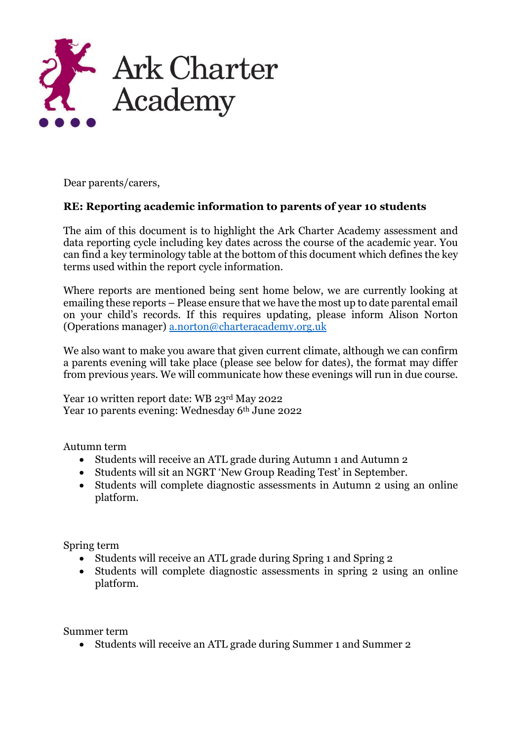

Dear parents/carers,

## **RE: Reporting academic information to parents of year 10 students**

The aim of this document is to highlight the Ark Charter Academy assessment and data reporting cycle including key dates across the course of the academic year. You can find a key terminology table at the bottom of this document which defines the key terms used within the report cycle information.

Where reports are mentioned being sent home below, we are currently looking at emailing these reports – Please ensure that we have the most up to date parental email on your child's records. If this requires updating, please inform Alison Norton (Operations manager) [a.norton@charteracademy.org.uk](mailto:a.norton@charteracademy.org.uk*)

We also want to make you aware that given current climate, although we can confirm a parents evening will take place (please see below for dates), the format may differ from previous years. We will communicate how these evenings will run in due course.

Year 10 written report date: WB 23rd May 2022 Year 10 parents evening: Wednesday 6th June 2022

Autumn term

- Students will receive an ATL grade during Autumn 1 and Autumn 2
- Students will sit an NGRT 'New Group Reading Test' in September.
- Students will complete diagnostic assessments in Autumn 2 using an online platform.

Spring term

- Students will receive an ATL grade during Spring 1 and Spring 2
- Students will complete diagnostic assessments in spring 2 using an online platform.

Summer term

• Students will receive an ATL grade during Summer 1 and Summer 2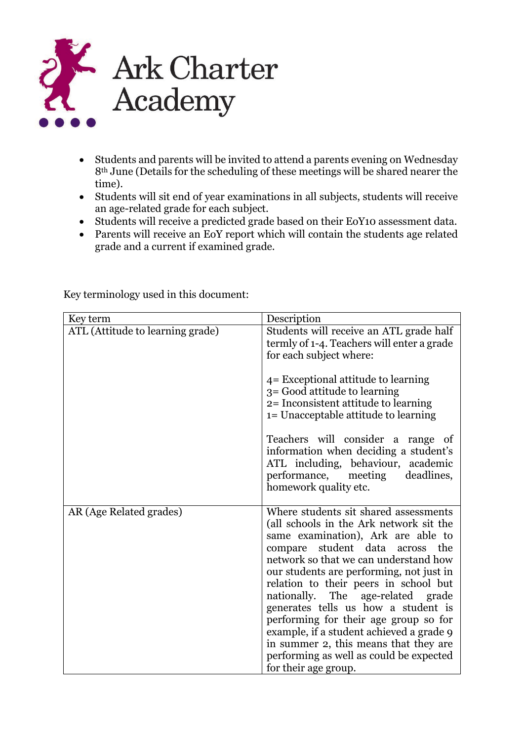

- Students and parents will be invited to attend a parents evening on Wednesday 8th June (Details for the scheduling of these meetings will be shared nearer the time).
- Students will sit end of year examinations in all subjects, students will receive an age-related grade for each subject.
- Students will receive a predicted grade based on their EoY10 assessment data.
- Parents will receive an EoY report which will contain the students age related grade and a current if examined grade.

| Key term                         | Description                                                                                                                                                                                                                                                                                                                                                                                                                                                                                                                                                          |
|----------------------------------|----------------------------------------------------------------------------------------------------------------------------------------------------------------------------------------------------------------------------------------------------------------------------------------------------------------------------------------------------------------------------------------------------------------------------------------------------------------------------------------------------------------------------------------------------------------------|
| ATL (Attitude to learning grade) | Students will receive an ATL grade half<br>termly of 1-4. Teachers will enter a grade<br>for each subject where:                                                                                                                                                                                                                                                                                                                                                                                                                                                     |
|                                  | 4 = Exceptional attitude to learning<br>3 = Good attitude to learning<br>2= Inconsistent attitude to learning<br>1= Unacceptable attitude to learning                                                                                                                                                                                                                                                                                                                                                                                                                |
|                                  | Teachers will consider a range of<br>information when deciding a student's<br>ATL including, behaviour, academic<br>performance, meeting deadlines,<br>homework quality etc.                                                                                                                                                                                                                                                                                                                                                                                         |
| AR (Age Related grades)          | Where students sit shared assessments<br>(all schools in the Ark network sit the<br>same examination), Ark are able to<br>compare student data across the<br>network so that we can understand how<br>our students are performing, not just in<br>relation to their peers in school but<br>nationally. The age-related grade<br>generates tells us how a student is<br>performing for their age group so for<br>example, if a student achieved a grade 9<br>in summer 2, this means that they are<br>performing as well as could be expected<br>for their age group. |

Key terminology used in this document: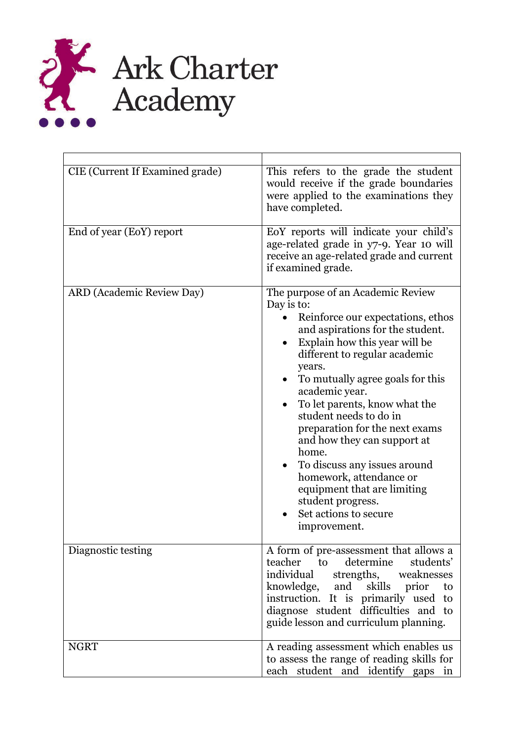

| CIE (Current If Examined grade)  | This refers to the grade the student<br>would receive if the grade boundaries<br>were applied to the examinations they<br>have completed.                                                                                                                                                                                                                                                                                                                                                                                                               |
|----------------------------------|---------------------------------------------------------------------------------------------------------------------------------------------------------------------------------------------------------------------------------------------------------------------------------------------------------------------------------------------------------------------------------------------------------------------------------------------------------------------------------------------------------------------------------------------------------|
| End of year (EoY) report         | EoY reports will indicate your child's<br>age-related grade in y7-9. Year 10 will<br>receive an age-related grade and current<br>if examined grade.                                                                                                                                                                                                                                                                                                                                                                                                     |
| <b>ARD</b> (Academic Review Day) | The purpose of an Academic Review<br>Day is to:<br>Reinforce our expectations, ethos<br>and aspirations for the student.<br>Explain how this year will be<br>different to regular academic<br>years.<br>To mutually agree goals for this<br>academic year.<br>To let parents, know what the<br>student needs to do in<br>preparation for the next exams<br>and how they can support at<br>home.<br>To discuss any issues around<br>homework, attendance or<br>equipment that are limiting<br>student progress.<br>Set actions to secure<br>improvement. |
| Diagnostic testing               | A form of pre-assessment that allows a<br>determine<br>teacher<br>students'<br>to<br>individual<br>weaknesses<br>strengths,<br>knowledge, and skills<br>prior<br>to<br>instruction. It is primarily used to<br>diagnose student difficulties and to<br>guide lesson and curriculum planning.                                                                                                                                                                                                                                                            |
| <b>NGRT</b>                      | A reading assessment which enables us<br>to assess the range of reading skills for<br>each student and identify gaps in                                                                                                                                                                                                                                                                                                                                                                                                                                 |